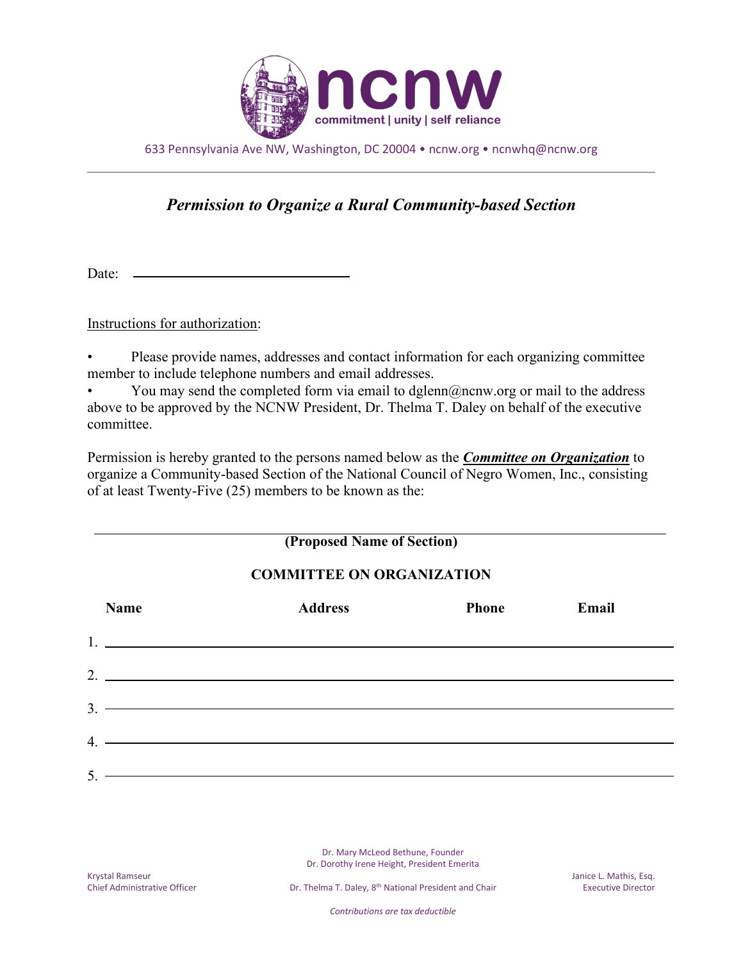

633 Pennsylvania Ave NW, Washington, DC 20004 • ncnw.org • ncnwhq@ncnw.org

## *Permission to Organize a Rural Community-based Section*

Date:

Instructions for authorization:

• Please provide names, addresses and contact information for each organizing committee member to include telephone numbers and email addresses.

You may send the completed form via email to dglenn@ncnw.org or mail to the address above to be approved by the NCNW President, Dr. Thelma T. Daley on behalf of the executive committee.

Permission is hereby granted to the persons named below as the *Committee on Organization* to organize a Community-based Section of the National Council of Negro Women, Inc., consisting of at least Twenty-Five (25) members to be known as the:

## **(Proposed Name of Section)**

## **COMMITTEE ON ORGANIZATION**

|    | <b>Name</b>                                                                                                                                                                                                                                                                                                            | <b>Address</b> | <b>Phone</b> | Email |
|----|------------------------------------------------------------------------------------------------------------------------------------------------------------------------------------------------------------------------------------------------------------------------------------------------------------------------|----------------|--------------|-------|
|    | $1.$ $\frac{1}{2}$ $\frac{1}{2}$ $\frac{1}{2}$ $\frac{1}{2}$ $\frac{1}{2}$ $\frac{1}{2}$ $\frac{1}{2}$ $\frac{1}{2}$ $\frac{1}{2}$ $\frac{1}{2}$ $\frac{1}{2}$ $\frac{1}{2}$ $\frac{1}{2}$ $\frac{1}{2}$ $\frac{1}{2}$ $\frac{1}{2}$ $\frac{1}{2}$ $\frac{1}{2}$ $\frac{1}{2}$ $\frac{1}{2}$ $\frac{1}{2}$ $\frac{1}{$ |                |              |       |
|    |                                                                                                                                                                                                                                                                                                                        |                |              |       |
|    | $3.$ $\overline{\phantom{a}}$                                                                                                                                                                                                                                                                                          |                |              |       |
|    | $4.$ $\overline{\phantom{a}}$                                                                                                                                                                                                                                                                                          |                |              |       |
| 5. | the control of the control of the control of the control of the control of the control of the control of the control of the control of the control of the control of the control of the control of the control of the control                                                                                          |                |              |       |

Dr. Mary McLeod Bethune, Founder Dr. Dorothy Irene Height, President Emerita